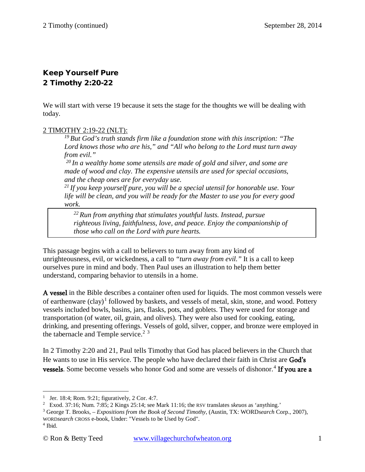# Keep Yourself Pure 2 Timothy 2:20-22

We will start with verse 19 because it sets the stage for the thoughts we will be dealing with today.

# 2 TIMOTHY 2:19-22 (NLT):

*19 But God's truth stands firm like a foundation stone with this inscription: "The Lord knows those who are his," and "All who belong to the Lord must turn away from evil."* 

*20 In a wealthy home some utensils are made of gold and silver, and some are made of wood and clay. The expensive utensils are used for special occasions, and the cheap ones are for everyday use.* 

*21 If you keep yourself pure, you will be a special utensil for honorable use. Your life will be clean, and you will be ready for the Master to use you for every good work.* 

*22 Run from anything that stimulates youthful lusts. Instead, pursue righteous living, faithfulness, love, and peace. Enjoy the companionship of those who call on the Lord with pure hearts.*

This passage begins with a call to believers to turn away from any kind of unrighteousness, evil, or wickedness, a call to *"turn away from evil."* It is a call to keep ourselves pure in mind and body. Then Paul uses an illustration to help them better understand, comparing behavior to utensils in a home.

A vessel in the Bible describes a container often used for liquids. The most common vessels were of earthenware  $(clay)<sup>1</sup>$  $(clay)<sup>1</sup>$  $(clay)<sup>1</sup>$  followed by baskets, and vessels of metal, skin, stone, and wood. Pottery vessels included bowls, basins, jars, flasks, pots, and goblets. They were used for storage and transportation (of water, oil, grain, and olives). They were also used for cooking, eating, drinking, and presenting offerings. Vessels of gold, silver, copper, and bronze were employed in the tabernacle and Temple service.<sup>[2](#page-0-1) [3](#page-0-2)</sup>

In 2 Timothy 2:20 and 21, Paul tells Timothy that God has placed believers in the Church that He wants to use in His service. The people who have declared their faith in Christ are God's vessels. Some become vessels who honor God and some are vessels of dishonor.<sup>[4](#page-0-3)</sup> If you are a

<sup>&</sup>lt;sup>1</sup> Jer. 18:4; Rom. 9:21; figuratively, 2 Cor. 4:7.  $\overline{a}$ 

<span id="page-0-1"></span><span id="page-0-0"></span><sup>&</sup>lt;sup>2</sup> Exod. 37:16; Num. 7:85; 2 Kings 25:14; see Mark 11:16; the RSV translates *skeuos* as 'anything.'

<span id="page-0-2"></span><sup>3</sup> George T. Brooks, *– Expositions from the Book of Second Timothy*, (Austin, TX: WORD*search* Corp., 2007), WORD*search* CROSS e-book, Under: "Vessels to be Used by God".

<span id="page-0-3"></span><sup>&</sup>lt;sup>4</sup> Ibid.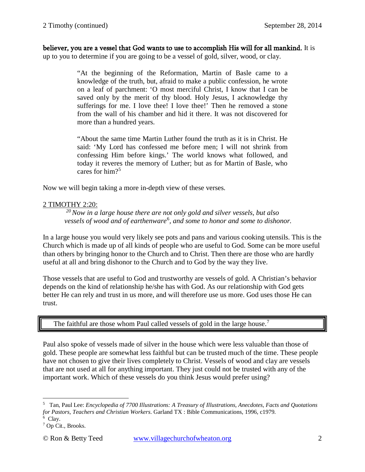believer, you are a vessel that God wants to use to accomplish His will for all mankind. It is up to you to determine if you are going to be a vessel of gold, silver, wood, or clay.

> "At the beginning of the Reformation, Martin of Basle came to a knowledge of the truth, but, afraid to make a public confession, he wrote on a leaf of parchment: 'O most merciful Christ, I know that I can be saved only by the merit of thy blood. Holy Jesus, I acknowledge thy sufferings for me. I love thee! I love thee!' Then he removed a stone from the wall of his chamber and hid it there. It was not discovered for more than a hundred years.

> "About the same time Martin Luther found the truth as it is in Christ. He said: 'My Lord has confessed me before men; I will not shrink from confessing Him before kings.' The world knows what followed, and today it reveres the memory of Luther; but as for Martin of Basle, who cares for him?[5](#page-1-0)

Now we will begin taking a more in-depth view of these verses.

#### 2 TIMOTHY 2:20:

*20 Now in a large house there are not only gold and silver vessels, but also vessels of wood and of earthenware*[6](#page-1-1) *, and some to honor and some to dishonor.* 

In a large house you would very likely see pots and pans and various cooking utensils. This is the Church which is made up of all kinds of people who are useful to God. Some can be more useful than others by bringing honor to the Church and to Christ. Then there are those who are hardly useful at all and bring dishonor to the Church and to God by the way they live.

Those vessels that are useful to God and trustworthy are vessels of gold. A Christian's behavior depends on the kind of relationship he/she has with God. As our relationship with God gets better He can rely and trust in us more, and will therefore use us more. God uses those He can trust.

### The faithful are those whom Paul called vessels of gold in the large house.<sup>[7](#page-1-2)</sup>

Paul also spoke of vessels made of silver in the house which were less valuable than those of gold. These people are somewhat less faithful but can be trusted much of the time. These people have not chosen to give their lives completely to Christ. Vessels of wood and clay are vessels that are not used at all for anything important. They just could not be trusted with any of the important work. Which of these vessels do you think Jesus would prefer using?

<span id="page-1-0"></span><sup>5</sup> Tan, Paul Lee: *Encyclopedia of 7700 Illustrations: A Treasury of Illustrations, Anecdotes, Facts and Quotations for Pastors, Teachers and Christian Workers*. Garland TX : Bible Communications, 1996, c1979.  $\overline{a}$ 

<sup>&</sup>lt;sup>6</sup> Clay.

<span id="page-1-2"></span><span id="page-1-1"></span><sup>7</sup> Op Cit., Brooks.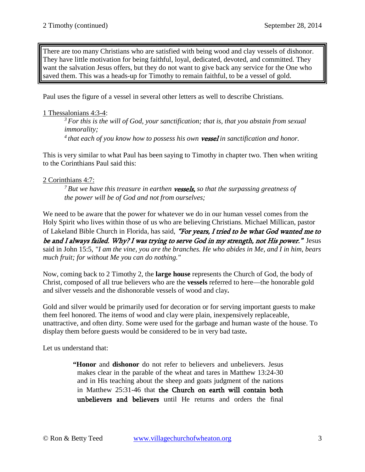There are too many Christians who are satisfied with being wood and clay vessels of dishonor. They have little motivation for being faithful, loyal, dedicated, devoted, and committed. They want the salvation Jesus offers, but they do not want to give back any service for the One who saved them. This was a heads-up for Timothy to remain faithful, to be a vessel of gold.

Paul uses the figure of a vessel in several other letters as well to describe Christians.

### 1 Thessalonians 4:3-4:

*3 For this is the will of God, your sanctification; that is, that you abstain from sexual immorality;* 

*4 that each of you know how to possess his own* vessel *in sanctification and honor.*

This is very similar to what Paul has been saying to Timothy in chapter two. Then when writing to the Corinthians Paul said this:

# 2 Corinthians 4:7:

*7 But we have this treasure in earthen* vessels, *so that the surpassing greatness of the power will be of God and not from ourselves;* 

We need to be aware that the power for whatever we do in our human vessel comes from the Holy Spirit who lives within those of us who are believing Christians. Michael Millican, pastor of Lakeland Bible Church in Florida, has said, "For years, I tried to be what God wanted me to be and I always failed. Why? I was trying to serve God in my strength, not His power." Jesus said in John 15:5*, "I am the vine, you are the branches. He who abides in Me, and I in him, bears much fruit; for without Me you can do nothing."*

Now, coming back to 2 Timothy 2, the **large house** represents the Church of God, the body of Christ, composed of all true believers who are the **vessels** referred to here—the honorable gold and silver vessels and the dishonorable vessels of wood and clay**.**

Gold and silver would be primarily used for decoration or for serving important guests to make them feel honored. The items of wood and clay were plain, inexpensively replaceable, unattractive, and often dirty. Some were used for the garbage and human waste of the house. To display them before guests would be considered to be in very bad taste**.**

Let us understand that:

**"Honor** and **dishonor** do not refer to believers and unbelievers. Jesus makes clear in the parable of the wheat and tares in [Matthew 13:24-30](http://www.crossbooks.com/verse.asp?ref=Mt+13%3A24-30) and in His teaching about the sheep and goats judgment of the nations in [Matthew 25:31-46](http://www.crossbooks.com/verse.asp?ref=Mt+25%3A31-46) that the Church on earth will contain both unbelievers and believers until He returns and orders the final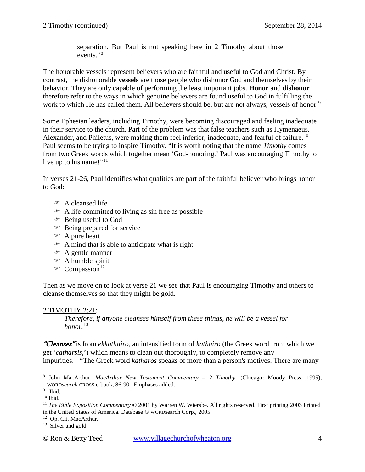separation. But Paul is not speaking here in 2 Timothy about those events."[8](#page-3-0)

The honorable vessels represent believers who are faithful and useful to God and Christ. By contrast, the dishonorable **vessels** are those people who dishonor God and themselves by their behavior. They are only capable of performing the least important jobs. **Honor** and **dishonor** therefore refer to the ways in which genuine believers are found useful to God in fulfilling the work to which He has called them. All believers should be, but are not always, vessels of honor.<sup>[9](#page-3-1)</sup>

Some Ephesian leaders, including Timothy, were becoming discouraged and feeling inadequate in their service to the church. Part of the problem was that false teachers such as Hymenaeus, Alexander, and Philetus, were making them feel inferior, inadequate, and fearful of failure.<sup>[10](#page-3-2)</sup> Paul seems to be trying to inspire Timothy. "It is worth noting that the name *Timothy* comes from two Greek words which together mean 'God-honoring.' Paul was encouraging Timothy to live up to his name!"<sup>[11](#page-3-3)</sup>

In [verses 21-26,](http://www.crossbooks.com/verse.asp?ref=2Ti+2%3A21-26) Paul identifies what qualities are part of the faithful believer who brings honor to God:

- A cleansed life
- A life committed to living as sin free as possible
- Being useful to God
- **Being prepared for service**
- A pure heart
- A mind that is able to anticipate what is right
- A gentle manner
- A humble spirit
- $\mathcal{F}$  Compassion<sup>[12](#page-3-4)</sup>

Then as we move on to look at verse 21 we see that Paul is encouraging Timothy and others to cleanse themselves so that they might be gold.

#### 2 TIMOTHY 2:21:

*Therefore, if anyone cleanses himself from these things, he will be a vessel for honor.*<sup>[13](#page-3-5)</sup>

"Cleanses" is from *ekkathairo*, an intensified form of *kathairo* (the Greek word from which we get *'catharsis,*') which means to clean out thoroughly, to completely remove any impurities. *"*The Greek word *katharos* speaks of more than a person's motives. There are many

<span id="page-3-4"></span>12 Op. Cit. MacArthur.

<span id="page-3-0"></span><sup>8</sup> John MacArthur, *MacArthur New Testament Commentary – 2 Timothy*, (Chicago: Moody Press, 1995), WORD*search* CROSS e-book, 86-90. Emphases added.  $\overline{a}$ 

<span id="page-3-1"></span><sup>&</sup>lt;sup>9</sup> Ibid.

<span id="page-3-2"></span> $10$  Ibid.

<span id="page-3-3"></span><sup>11</sup> *The Bible Exposition Commentary* © 2001 by Warren W. Wiersbe. All rights reserved. First printing 2003 Printed in the United States of America. Database © WORDsearch Corp., 2005.

<span id="page-3-5"></span><sup>&</sup>lt;sup>13</sup> Silver and gold.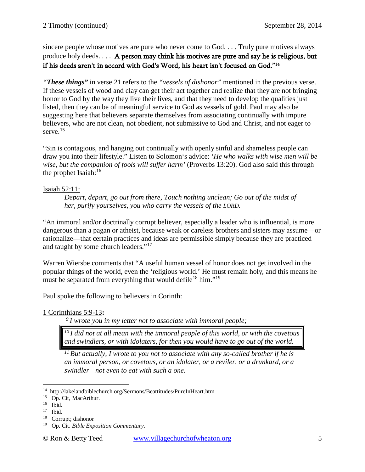sincere people whose motives are pure who never come to God. . . . Truly pure motives always produce holy deeds. . . . A person may think his motives are pure and say he is religious, but if his deeds aren't in accord with God's Word, his heart isn't focused on God."[14](#page-4-0)

*"These things"* in verse 21 refers to the *"vessels of dishonor"* mentioned in the previous verse. If these vessels of wood and clay can get their act together and realize that they are not bringing honor to God by the way they live their lives, and that they need to develop the qualities just listed, then they can be of meaningful service to God as vessels of gold. Paul may also be suggesting here that believers separate themselves from associating continually with impure believers, who are not clean, not obedient, not submissive to God and Christ, and not eager to serve.<sup>[15](#page-4-1)</sup>

"Sin is contagious, and hanging out continually with openly sinful and shameless people can draw you into their lifestyle." Listen to Solomon's advice: *'He who walks with wise men will be wise, but the companion of fools will suffer harm'* [\(Proverbs 13:20\)](http://www.crossbooks.com/verse.asp?ref=Pr+13%3A20). God also said this through the prophet Isaiah:[16](#page-4-2)

# Isaiah 52:11:

*Depart, depart, go out from there, Touch nothing unclean; Go out of the midst of her, purify yourselves, you who carry the vessels of the LORD.*

"An immoral and/or doctrinally corrupt believer, especially a leader who is influential, is more dangerous than a pagan or atheist, because weak or careless brothers and sisters may assume—or rationalize—that certain practices and ideas are permissible simply because they are practiced and taught by some church leaders."<sup>[17](#page-4-3)</sup>

Warren Wiersbe comments that "A useful human vessel of honor does not get involved in the popular things of the world, even the 'religious world.' He must remain holy, and this means he must be separated from everything that would defile<sup>[18](#page-4-4)</sup> him."<sup>19</sup>

Paul spoke the following to believers in Corinth:

*9 I wrote you in my letter not to associate with immoral people;* 

*10 I did not at all mean with the immoral people of this world, or with the covetous and swindlers, or with idolaters, for then you would have to go out of the world.* 

*11 But actually, I wrote to you not to associate with any so-called brother if he is an immoral person, or covetous, or an idolater, or a reviler, or a drunkard, or a swindler—not even to eat with such a one.* 

<sup>1</sup> Corinthians 5:9-13**:**

<sup>14</sup> http://lakelandbiblechurch.org/Sermons/Beattitudes/PureInHeart.htm  $\overline{a}$ 

<span id="page-4-1"></span><span id="page-4-0"></span><sup>15</sup> Op. Cit, MacArthur.

<span id="page-4-2"></span><sup>16</sup> Ibid.

<span id="page-4-3"></span><sup>17</sup> Ibid.

<span id="page-4-4"></span><sup>18</sup> Corrupt; dishonor

<span id="page-4-5"></span><sup>19</sup> Op. Cit. *Bible Exposition Commentary.*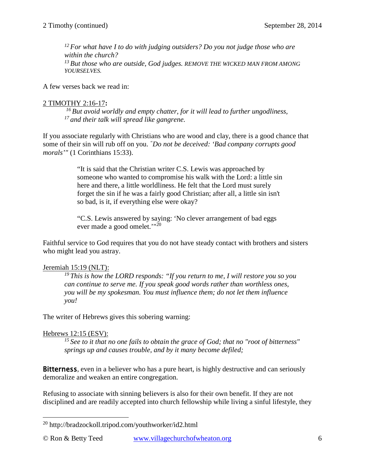*12 For what have I to do with judging outsiders? Do you not judge those who are within the church?*  <sup>13</sup> But those who are outside, God judges. REMOVE THE WICKED MAN FROM AMONG *YOURSELVES.* 

A few verses back we read in:

#### 2 TIMOTHY 2:16-17**:**

*16 But avoid worldly and empty chatter, for it will lead to further ungodliness, 17 and their talk will spread like gangrene.* 

If you associate regularly with Christians who are wood and clay, there is a good chance that some of their sin will rub off on you. *"Do not be deceived: 'Bad company corrupts good morals'"* (1 Corinthians 15:33).

> "It is said that the Christian writer C.S. Lewis was approached by someone who wanted to compromise his walk with the Lord: a little sin here and there, a little worldliness. He felt that the Lord must surely forget the sin if he was a fairly good Christian; after all, a little sin isn't so bad, is it, if everything else were okay?

"C.S. Lewis answered by saying: 'No clever arrangement of bad eggs ever made a good omelet.'"[20](#page-5-0)

Faithful service to God requires that you do not have steady contact with brothers and sisters who might lead you astray.

#### Jeremiah 15:19 (NLT):

*19 This is how the LORD responds: "If you return to me, I will restore you so you can continue to serve me. If you speak good words rather than worthless ones, you will be my spokesman. You must influence them; do not let them influence you!* 

The writer of Hebrews gives this sobering warning:

#### Hebrews 12:15 (ESV):

*15 See to it that no one fails to obtain the grace of God; that no "root of bitterness" springs up and causes trouble, and by it many become defiled;* 

**Bitterness**, even in a believer who has a pure heart, is highly destructive and can seriously demoralize and weaken an entire congregation.

Refusing to associate with sinning believers is also for their own benefit. If they are not disciplined and are readily accepted into church fellowship while living a sinful lifestyle, they

<span id="page-5-0"></span><sup>&</sup>lt;sup>20</sup> <http://bradzockoll.tripod.com/youthworker/id2.html>  $\overline{a}$